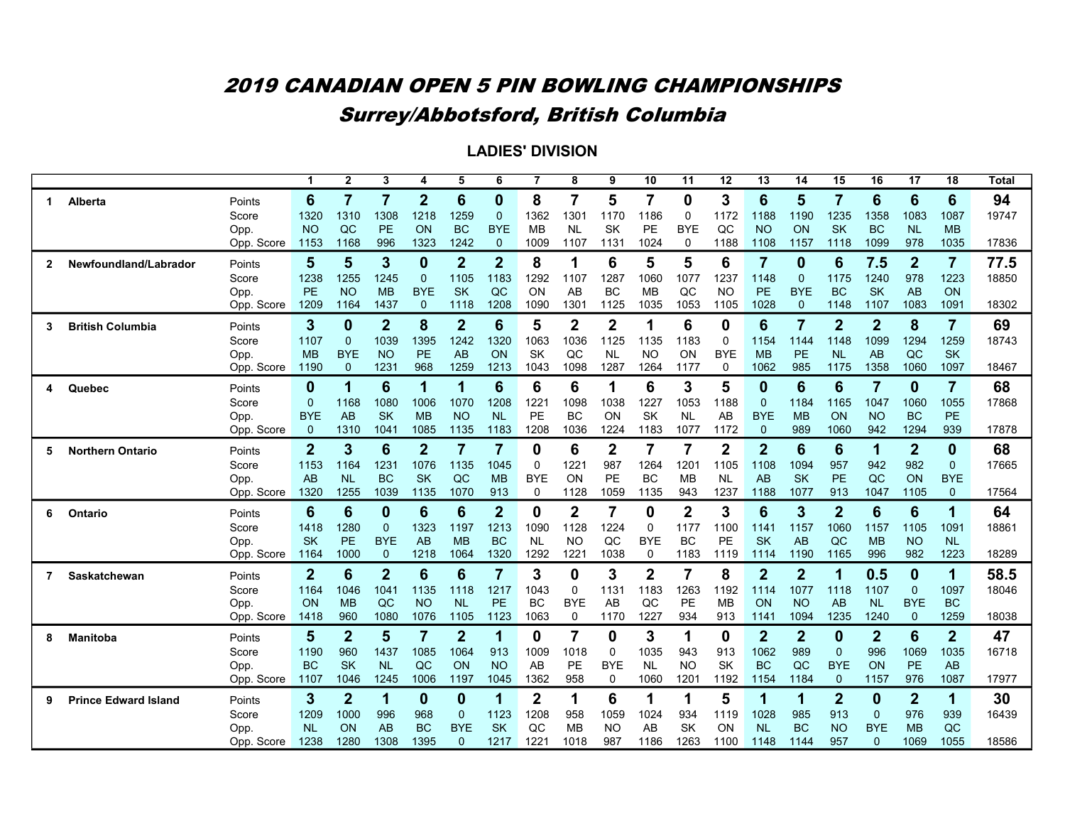|              |                             |                    |                   | $\overline{2}$    | $\overline{3}$    | 4                       | 5                          | 6                 | 7                 | 8                      | 9                         | 10                      | 11                            | 12          | 13                | 14                | $\overline{15}$            | 16                     | 17                         | $\overline{18}$   | <b>Total</b> |
|--------------|-----------------------------|--------------------|-------------------|-------------------|-------------------|-------------------------|----------------------------|-------------------|-------------------|------------------------|---------------------------|-------------------------|-------------------------------|-------------|-------------------|-------------------|----------------------------|------------------------|----------------------------|-------------------|--------------|
| -1           | Alberta                     | Points             | 6                 | 7                 | $\overline{7}$    | $\overline{2}$          | 6                          | 0                 | 8                 | 7                      | 5                         | $\overline{7}$          | 0                             | 3           | 6                 | 5                 | $\overline{7}$             | 6                      | 6                          | 6                 | 94           |
|              |                             | Score              | 1320              | 1310              | 1308              | 1218                    | 1259                       | $\Omega$          | 1362              | 1301                   | 1170                      | 1186                    | 0                             | 1172        | 1188              | 1190              | 1235                       | 1358                   | 1083                       | 1087              | 19747        |
|              |                             | Opp.               | <b>NO</b>         | QC                | PE                | ON                      | <b>BC</b>                  | <b>BYE</b>        | MВ                | NL                     | SK                        | PE                      | <b>BYE</b>                    | QC          | NO                | <b>ON</b>         | <b>SK</b>                  | <b>BC</b>              | <b>NL</b>                  | <b>MB</b>         |              |
|              |                             | Opp. Score         | 1153              | 1168              | 996               | 1323                    | 1242                       | $\mathbf{0}$      | 1009              | 1107                   | 1131                      | 1024                    | 0                             | 1188        | 1108              | 1157              | 1118                       | 1099                   | 978                        | 1035              | 17836        |
| $\mathbf{2}$ | Newfoundland/Labrador       | Points             | 5                 | 5                 | 3                 | $\mathbf 0$             | $\overline{2}$             | $\overline{2}$    | 8                 |                        | 6                         | 5                       | 5                             | 6           | 7                 | 0                 | 6                          | 7.5                    | $\boldsymbol{2}$           | $\overline{7}$    | 77.5         |
|              |                             | Score              | 1238              | 1255              | 1245              | $\mathbf{0}$            | 1105                       | 1183              | 1292              | 1107                   | 1287                      | 1060                    | 1077                          | 1237        | 1148              | $\Omega$          | 1175                       | 1240                   | 978                        | 1223              | 18850        |
|              |                             | Opp.               | PE                | N <sub>O</sub>    | <b>MB</b>         | <b>BYE</b>              | <b>SK</b>                  | QC                | ON                | AВ                     | <b>BC</b>                 | <b>MB</b>               | QC                            | NΟ          | <b>PE</b>         | <b>BYE</b>        | <b>BC</b>                  | <b>SK</b>              | AB                         | ON                |              |
|              |                             | Opp. Score         | 1209              | 1164              | 1437              | $\mathbf{0}$            | 1118                       | 1208              | 1090              | 1301                   | 1125                      | 1035                    | 1053                          | 1105        | 1028              | $\mathbf{0}$      | 1148                       | 1107                   | 1083                       | 1091              | 18302        |
| 3            | <b>British Columbia</b>     | Points             | 3                 | 0                 | $\overline{2}$    | 8                       | $\boldsymbol{2}$           | 6                 | 5                 | $\overline{2}$         | $\overline{2}$            | 1                       | 6                             | 0           | 6                 | 7                 | $\overline{2}$             | $\overline{2}$         | 8                          | $\overline{7}$    | 69           |
|              |                             | Score              | 1107              | $\mathbf{0}$      | 1039              | 1395                    | 1242                       | 1320              | 1063              | 1036                   | 1125                      | 1135                    | 1183                          | $\mathbf 0$ | 1154              | 1144              | 1148                       | 1099                   | 1294                       | 1259              | 18743        |
|              |                             | Opp.               | <b>MB</b>         | <b>BYE</b>        | <b>NO</b>         | <b>PE</b>               | AB                         | ON                | <b>SK</b>         | OC                     | <b>NL</b>                 | <b>NO</b>               | ON                            | <b>BYE</b>  | <b>MB</b>         | PE                | <b>NL</b>                  | AB                     | QC                         | <b>SK</b>         |              |
|              |                             | Score<br>Opp.      | 1190              | $\Omega$          | 1231              | 968                     | 1259                       | 1213              | 1043              | 1098                   | 1287                      | 1264                    | 1177                          | $\Omega$    | 1062              | 985               | 1175                       | 1358                   | 1060                       | 1097              | 18467        |
| 4            | Quebec                      | Points             | 0                 | 1                 | 6                 | $\overline{\mathbf{1}}$ | 1                          | 6                 | 6                 | 6                      | 1                         | 6                       | 3                             | 5           | 0                 | 6                 | 6                          | $\overline{7}$         | $\mathbf 0$                | $\overline{7}$    | 68           |
|              |                             | Score              | $\overline{0}$    | 1168              | 1080              | 1006                    | 1070                       | 1208              | 1221              | 1098                   | 1038                      | 1227                    | 1053                          | 1188        | $\mathbf{0}$      | 1184              | 1165                       | 1047                   | 1060                       | 1055              | 17868        |
|              |                             | Opp.               | <b>BYE</b>        | AB                | <b>SK</b>         | <b>MB</b>               | <b>NO</b>                  | <b>NL</b>         | <b>PE</b>         | <b>BC</b>              | ON                        | <b>SK</b>               | NL                            | AB          | <b>BYE</b>        | <b>MB</b>         | ON                         | <b>NO</b>              | <b>BC</b>                  | <b>PE</b>         |              |
|              |                             | Opp. Score         | 0                 | 1310              | 1041              | 1085                    | 1135                       | 1183              | 1208              | 1036                   | 1224                      | 1183                    | 1077                          | 1172        | $\Omega$          | 989               | 1060                       | 942                    | 1294                       | 939               | 17878        |
| 5            | <b>Northern Ontario</b>     | Points             | $\overline{2}$    | 3                 | 6                 | $\boldsymbol{2}$        | $\overline{7}$             | $\overline{7}$    | 0                 | 6                      | $\mathbf{2}$              | $\overline{7}$          | 7                             | $\mathbf 2$ | $\overline{2}$    | $6\phantom{1}6$   | 6                          | 1                      | $\boldsymbol{2}$           | 0                 | 68           |
|              |                             | Score              | 1153              | 1164              | 1231              | 1076                    | 1135                       | 1045              | $\mathbf 0$       | 1221                   | 987                       | 1264                    | 1201                          | 1105        | 1108              | 1094              | 957                        | 942                    | 982                        | $\mathbf{0}$      | 17665        |
|              |                             | Opp.               | AB                | <b>NL</b>         | <b>BC</b>         | <b>SK</b>               | QC                         | <b>MB</b>         | <b>BYE</b>        | ON                     | PE                        | <b>BC</b>               | <b>MB</b>                     | NL          | AB                | <b>SK</b>         | PE                         | QC                     | ON                         | <b>BYE</b>        |              |
|              |                             | Opp. Score         | 1320              | 1255              | 1039              | 1135                    | 1070                       | 913               | 0                 | 1128                   | 1059                      | 1135                    | 943                           | 1237        | 1188              | 1077              | 913                        | 1047                   | 1105                       | $\mathbf{0}$      | 17564        |
| 6            | Ontario                     | Points             | 6                 | 6                 | $\bf{0}$          | $6\phantom{1}6$         | 6                          | $\overline{2}$    | 0                 | $\overline{2}$         | $\overline{7}$            | 0                       | $\overline{2}$                | 3           | 6                 | 3                 | $\overline{2}$             | 6                      | $6\phantom{1}$             | 1                 | 64           |
|              |                             | Score              | 1418              | 1280              | $\mathbf{0}$      | 1323                    | 1197                       | 1213              | 1090              | 1128                   | 1224                      | $\mathbf 0$             | 1177                          | 1100        | 1141              | 1157              | 1060                       | 1157                   | 1105                       | 1091              | 18861        |
|              |                             | Opp.               | <b>SK</b>         | <b>PE</b>         | <b>BYE</b>        | AB                      | <b>MB</b>                  | <b>BC</b>         | <b>NL</b>         | <b>NO</b>              | QC                        | <b>BYE</b>              | <b>BC</b>                     | <b>PE</b>   | <b>SK</b>         | AB                | QC                         | <b>MB</b>              | <b>NO</b>                  | <b>NL</b>         |              |
|              |                             | Opp. Score         | 1164              | 1000              | $\mathbf{0}$      | 1218                    | 1064                       | 1320              | 1292              | $122^{\circ}$          | 1038                      | 0                       | 1183                          | 1119        | 1114              | 1190              | 1165                       | 996                    | 982                        | 1223              | 18289        |
| 7            | Saskatchewan                | Points             | $\overline{2}$    | 6                 | $\overline{2}$    | $6\phantom{1}6$         | 6                          | $\overline{7}$    | 3                 | 0                      | 3                         | $\overline{\mathbf{2}}$ | $\overline{7}$                | 8           | $\overline{2}$    | $\overline{2}$    | 1                          | 0.5                    | $\mathbf 0$                | 1                 | 58.5         |
|              |                             | Score              | 1164              | 1046              | 1041              | 1135                    | 1118                       | 1217              | 1043              | 0                      | 1131                      | 1183                    | 1263                          | 1192        | 1114              | 1077              | 1118                       | 1107                   | $\mathbf 0$                | 1097              | 18046        |
|              |                             | Opp.<br>Opp. Score | ON<br>1418        | <b>MB</b><br>960  | QC<br>1080        | <b>NO</b><br>1076       | <b>NL</b><br>1105          | PE<br>1123        | <b>BC</b><br>1063 | <b>BYE</b><br>$\Omega$ | AB<br>1170                | QC<br>1227              | PE<br>934                     | MВ<br>913   | ON<br>1141        | <b>NO</b><br>1094 | AB<br>1235                 | <b>NL</b><br>1240      | <b>BYE</b><br>$\mathbf{0}$ | <b>BC</b><br>1259 | 18038        |
|              |                             |                    |                   |                   |                   |                         |                            |                   |                   |                        |                           |                         |                               |             |                   |                   |                            |                        |                            |                   |              |
| 8            | <b>Manitoba</b>             | Points             | $5\phantom{.}$    | $\overline{2}$    | 5                 | $\overline{7}$          | $\overline{2}$             | 1                 | 0                 | 7                      | 0                         | 3                       | 1                             | 0           | $\overline{2}$    | $\overline{2}$    | $\bf{0}$                   | $\overline{2}$         | 6                          | $\overline{2}$    | 47           |
|              |                             | Score              | 1190              | 960               | 1437              | 1085                    | 1064                       | 913               | 1009              | 1018                   | $\Omega$                  | 1035                    | 943                           | 913         | 1062              | 989               | $\mathbf{0}$               | 996                    | 1069                       | 1035              | 16718        |
|              |                             | Opp.<br>Opp. Score | <b>BC</b><br>1107 | <b>SK</b><br>1046 | <b>NL</b><br>1245 | QC<br>1006              | ON<br>1197                 | <b>NO</b><br>1045 | AB<br>1362        | PE<br>958              | <b>BYE</b><br>$\mathbf 0$ | <b>NL</b><br>1060       | <b>NO</b><br>120 <sup>7</sup> | SK<br>1192  | <b>BC</b><br>1154 | QC<br>1184        | <b>BYE</b><br>$\mathbf{0}$ | ON<br>1157             | <b>PE</b><br>976           | AB<br>1087        | 17977        |
|              |                             |                    |                   |                   |                   |                         |                            |                   |                   |                        |                           |                         |                               |             |                   |                   |                            |                        |                            |                   |              |
| 9            | <b>Prince Edward Island</b> | Points             | 3                 | $\overline{2}$    | 1                 | $\mathbf 0$             | 0                          | 1                 | $\mathbf{2}$      | 1                      | 6                         | 1                       | 1                             | 5           | 1                 | 1                 | $\overline{2}$             | 0                      | $\mathbf{2}$               | 1                 | 30           |
|              |                             | Score              | 1209              | 1000              | 996               | 968                     | $\mathbf{0}$               | 1123              | 1208              | 958                    | 1059                      | 1024                    | 934                           | 1119        | 1028              | 985               | 913                        | $\mathbf 0$            | 976                        | 939               | 16439        |
|              |                             | Opp.<br>Opp. Score | <b>NL</b><br>1238 | ON<br>1280        | AB<br>1308        | <b>BC</b><br>1395       | <b>BYE</b><br>$\mathbf{0}$ | <b>SK</b><br>1217 | QC<br>1221        | <b>MB</b><br>1018      | <b>NO</b><br>987          | AB<br>1186              | SK<br>1263                    | OΝ<br>1100  | <b>NL</b><br>1148 | <b>BC</b><br>1144 | <b>NO</b><br>957           | <b>BYE</b><br>$\Omega$ | <b>MB</b><br>1069          | QC<br>1055        | 18586        |
|              |                             |                    |                   |                   |                   |                         |                            |                   |                   |                        |                           |                         |                               |             |                   |                   |                            |                        |                            |                   |              |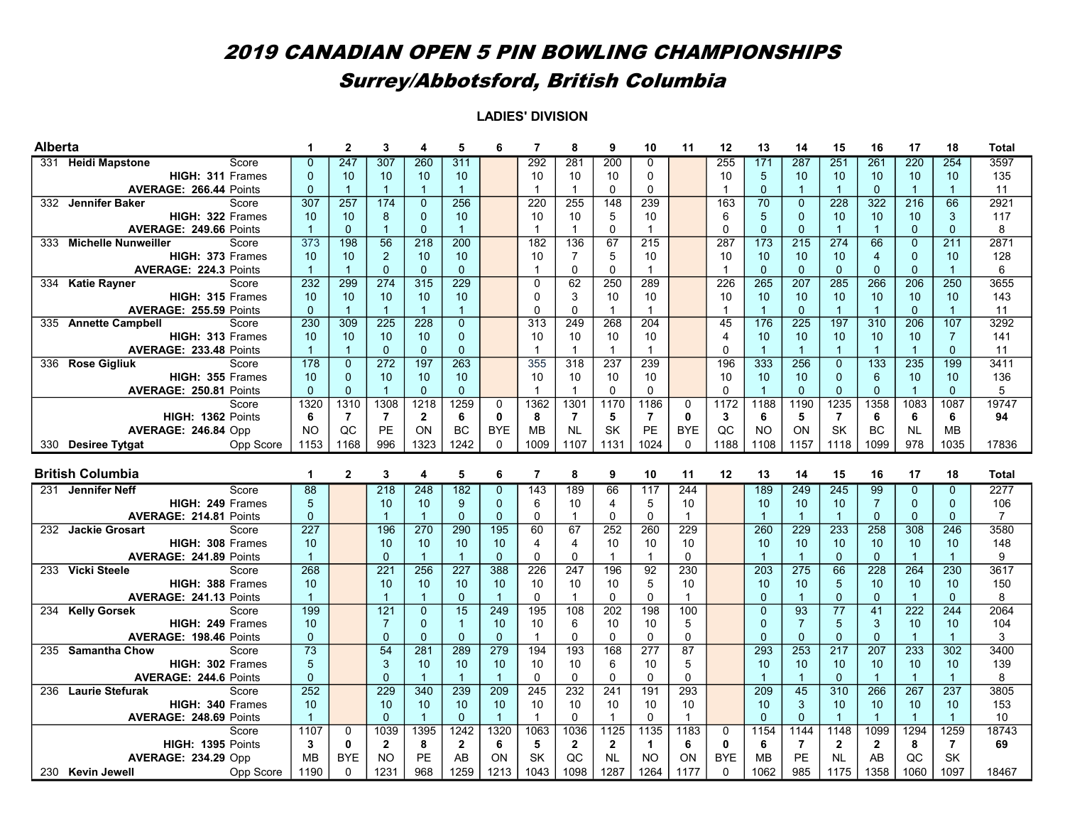| <b>Alberta</b> |                                                     |                      | $\mathbf{2}$     | 3                | 4                | 5                    | 6                          | $\overline{7}$ | 8                    | 9                      | 10                      | 11              | 12             | 13                     | 14                   | 15               | 16                   | 17               | 18                                      | <b>Total</b>   |
|----------------|-----------------------------------------------------|----------------------|------------------|------------------|------------------|----------------------|----------------------------|----------------|----------------------|------------------------|-------------------------|-----------------|----------------|------------------------|----------------------|------------------|----------------------|------------------|-----------------------------------------|----------------|
| 331            | <b>Heidi Mapstone</b><br>Score                      | $\mathbf{0}$         | 247              | 307              | 260              | 311                  |                            | 292            | 281                  | 200                    | 0                       |                 | 255            | 171                    | 287                  | 251              | 261                  | 220              | 254                                     | 3597           |
|                | HIGH: 311 Frames                                    | $\Omega$             | 10               | 10               | 10               | 10                   |                            | 10             | 10                   | 10                     | 0                       |                 | 10             | 5                      | 10                   | 10               | 10                   | 10               | 10 <sup>°</sup>                         | 135            |
|                | <b>AVERAGE: 266.44 Points</b>                       | $\Omega$             | $\mathbf{1}$     | $\overline{1}$   | $\mathbf{1}$     | $\overline{1}$       |                            | $\mathbf{1}$   | $\mathbf{1}$         | $\mathbf 0$            | $\mathbf 0$             |                 | $\mathbf{1}$   | $\mathbf{0}$           | $\overline{1}$       | $\overline{1}$   | $\Omega$             | $\overline{1}$   | $\mathbf{1}$                            | 11             |
|                | 332 Jennifer Baker<br>Score                         | $\overline{307}$     | 257              | 174              | $\Omega$         | 256                  |                            | 220            | 255                  | 148                    | 239                     |                 | 163            | $\overline{70}$        | $\Omega$             | 228              | 322                  | $\overline{216}$ | 66                                      | 2921           |
|                | HIGH: 322 Frames                                    | 10                   | 10               | 8                | $\mathbf{0}$     | 10                   |                            | 10             | 10                   | 5                      | 10                      |                 | 6              | 5                      | $\Omega$             | 10               | 10                   | 10 <sup>1</sup>  | 3                                       | 117            |
|                | AVERAGE: 249.66 Points                              | $\overline{1}$       | $\mathbf{0}$     | $\overline{1}$   | $\overline{0}$   | $\mathbf{1}$         |                            | $\mathbf{1}$   | $\mathbf{1}$         | $\mathbf 0$            | $\overline{\mathbf{1}}$ |                 | $\Omega$       | $\mathbf{0}$           | $\Omega$             | $\overline{1}$   | $\mathbf{1}$         | $\Omega$         | $\Omega$                                | 8              |
| 333            | <b>Michelle Nunweiller</b><br>Score                 | 373                  | 198              | 56               | 218              | 200                  |                            | 182            | 136                  | 67                     | 215                     |                 | 287            | $\overline{173}$       | 215                  | 274              | 66                   | $\mathbf{0}$     | 211                                     | 2871           |
|                | HIGH: 373 Frames                                    | 10                   | 10               | $\overline{2}$   | 10               | 10                   |                            | 10             | $\overline{7}$       | 5                      | 10                      |                 | 10             | 10                     | 10                   | 10               | $\overline{4}$       | $\mathbf{0}$     | 10 <sup>1</sup>                         | 128            |
|                | <b>AVERAGE: 224.3 Points</b>                        | $\overline{1}$       | $\overline{1}$   | $\mathbf{0}$     | $\mathbf{0}$     | $\mathbf{0}$         |                            | 1              | 0                    | $\Omega$               | $\overline{1}$          |                 | 1              | $\mathbf{0}$           | $\mathbf{0}$         | $\mathbf{0}$     | $\mathbf{0}$         | $\mathbf{0}$     | $\mathbf{1}$                            | 6              |
| 334            | <b>Katie Rayner</b><br>Score                        | 232                  | 299              | 274              | 315              | 229                  |                            | $\Omega$       | 62                   | 250                    | 289                     |                 | 226            | 265                    | 207                  | 285              | 266                  | 206              | 250                                     | 3655           |
|                | HIGH: 315 Frames                                    | 10                   | 10               | 10               | 10               | 10                   |                            | $\Omega$       | 3                    | 10                     | 10                      |                 | 10             | 10                     | 10                   | 10               | 10                   | 10               | 10 <sup>°</sup>                         | 143            |
|                | AVERAGE: 255.59 Points                              | $\Omega$             | $\mathbf{1}$     | $\overline{1}$   | $\overline{1}$   | $\mathbf{1}$         |                            | $\Omega$       | $\Omega$             | $\mathbf{1}$           | $\mathbf{1}$            |                 | $\overline{1}$ | $\mathbf{1}$           | $\Omega$             | $\overline{1}$   | $\mathbf{1}$         | $\mathbf{0}$     | $\mathbf{1}$                            | 11             |
|                | 335 Annette Campbell<br>Score                       | 230                  | $\overline{309}$ | $\overline{225}$ | 228              | $\mathbf{0}$         |                            | 313            | 249                  | 268                    | 204                     |                 | 45             | 176                    | $\overline{225}$     | 197              | 310                  | 206              | 107                                     | 3292           |
|                | HIGH: 313 Frames                                    | 10                   | 10               | 10               | 10               | $\mathbf{0}$         |                            | 10             | 10                   | 10                     | 10                      |                 | 4              | 10                     | 10                   | 10               | 10                   | 10               | $\overline{7}$                          | 141            |
|                | <b>AVERAGE: 233.48 Points</b>                       | $\overline{1}$       | $\overline{1}$   | $\mathbf{0}$     | $\Omega$         | $\mathbf{0}$         |                            | $\mathbf{1}$   | $\mathbf{1}$         | $\mathbf{1}$           | $\mathbf{1}$            |                 | 0              | $\overline{1}$         | $\overline{1}$       | $\overline{1}$   | $\mathbf{1}$         | $\overline{1}$   | $\Omega$                                | 11             |
|                | 336 Rose Gigliuk<br>Score                           | 178                  | $\mathbf{0}$     | 272              | 197              | 263                  |                            | 355            | 318                  | 237                    | 239                     |                 | 196            | 333                    | 256                  | $\mathbf 0$      | 133                  | 235              | 199                                     | 3411           |
|                | HIGH: 355 Frames                                    | 10                   | $\overline{0}$   | 10               | 10               | 10                   |                            | 10             | 10                   | 10                     | 10                      |                 | 10             | 10                     | 10                   | $\mathbf{0}$     | 6                    | 10               | 10 <sup>1</sup>                         | 136            |
|                | <b>AVERAGE: 250.81 Points</b>                       | $\Omega$             | $\Omega$         | $\overline{1}$   | $\Omega$         | $\Omega$             |                            | $\mathbf{1}$   | $\mathbf{1}$         | $\Omega$               | $\Omega$                |                 | $\Omega$       | $\overline{1}$         | $\Omega$             | $\Omega$         | $\Omega$             | $\overline{1}$   | $\Omega$                                | 5              |
|                | Score                                               | 1320                 | 1310             | 1308             | 1218             | 1259                 | $\mathbf 0$                | 1362           | 1301                 | 1170                   | 1186                    | $\mathbf 0$     | 1172           | 1188                   | 1190                 | 1235             | 1358                 | 1083             | 1087                                    | 19747          |
|                | HIGH: 1362 Points                                   | 6                    | $\overline{7}$   | $\overline{7}$   | $\mathbf{2}$     | 6                    | $\bf{0}$                   | 8              | $\overline{7}$       | 5                      | $\overline{7}$          | $\mathbf{0}$    | 3              | 6                      | 5                    | $\overline{7}$   | 6                    | 6                | 6                                       | 94             |
|                | AVERAGE: 246.84 Opp                                 | <b>NO</b>            | QC               | PE               | ON               | <b>BC</b>            | <b>BYE</b>                 | <b>MB</b>      | <b>NL</b>            | <b>SK</b>              | <b>PE</b>               | <b>BYE</b>      | QC             | <b>NO</b>              | ON                   | SK               | <b>BC</b>            | <b>NL</b>        | <b>MB</b>                               |                |
|                | Opp Score<br>330 Desiree Tytgat                     | 1153                 | 1168             | 996              | 1323             | 1242                 | $\mathbf{0}$               | 1009           | 1107                 | 1131                   | 1024                    | $\Omega$        | 1188           | 1108                   | 1157                 | 1118             | 1099                 | 978              | 1035                                    | 17836          |
|                |                                                     |                      |                  |                  |                  |                      |                            |                |                      |                        |                         |                 |                |                        |                      |                  |                      |                  |                                         |                |
|                |                                                     |                      |                  |                  |                  |                      |                            |                |                      |                        |                         |                 |                |                        |                      |                  |                      |                  |                                         |                |
|                | <b>British Columbia</b>                             | 1                    | $\mathbf{2}$     | 3                | 4                | 5                    | 6                          | $\overline{7}$ | 8                    | 9                      | 10                      | 11              | 12             | 13                     | 14                   | 15               | 16                   | 17               | 18                                      | Total          |
| 231            | <b>Jennifer Neff</b><br>Score                       | $\overline{88}$      |                  | $\overline{218}$ | 248              | 182                  | $\overline{0}$             | 143            | 189                  | 66                     | 117                     | 244             |                | 189                    | 249                  | 245              | 99                   | $\mathbf{0}$     | $\overline{0}$                          | 2277           |
|                | HIGH: 249 Frames                                    | 5                    |                  | 10               | 10               | 9                    | $\mathbf{0}$               | 6              | 10                   | $\overline{4}$         | 5                       | 10              |                | 10                     | 10                   | 10               | $\overline{7}$       | $\mathbf{0}$     | $\Omega$                                | 106            |
|                | AVERAGE: 214.81 Points                              | $\mathbf{0}$         |                  | $\overline{1}$   | $\overline{1}$   | $\Omega$             | $\mathbf{0}$               | $\Omega$       | $\mathbf{1}$         | $\Omega$               | $\Omega$                | $\mathbf{1}$    |                | $\overline{1}$         | $\overline{1}$       | $\overline{1}$   | $\Omega$             | $\Omega$         | $\Omega$                                | $\overline{7}$ |
|                | 232 Jackie Grosart<br>Score                         | 227                  |                  | 196              | 270              | 290                  | 195                        | 60             | 67                   | 252                    | 260                     | 229             |                | 260                    | 229                  | 233              | 258                  | 308              | 246                                     | 3580           |
|                | HIGH: 308 Frames                                    | 10                   |                  | 10               | 10               | 10                   | 10                         | 4              | $\overline{4}$       | 10                     | 10                      | 10              |                | 10                     | 10                   | 10               | 10                   | 10               | 10 <sup>°</sup>                         | 148            |
|                | <b>AVERAGE: 241.89 Points</b>                       | $\overline{1}$       |                  | $\Omega$         | $\overline{1}$   | $\mathbf{1}$         | $\Omega$                   | $\Omega$       | $\Omega$             | $\mathbf{1}$           | $\overline{1}$          | $\Omega$        |                | $\overline{1}$         | $\overline{1}$       | $\Omega$         | $\Omega$             | $\overline{1}$   | $\mathbf{1}$                            | 9              |
|                | 233 Vicki Steele<br>Score                           | 268                  |                  | 221              | 256              | 227                  | 388                        | 226            | 247                  | 196                    | $\overline{92}$         | 230             |                | 203                    | 275                  | 66               | $\overline{228}$     | 264              | 230                                     | 3617           |
|                | HIGH: 388 Frames                                    | 10                   |                  | 10               | 10               | 10                   | 10                         | 10             | 10                   | 10                     | 5                       | 10              |                | 10                     | 10                   | 5                | 10                   | 10               | 10 <sup>1</sup>                         | 150            |
|                | AVERAGE: 241.13 Points                              | $\overline{1}$       |                  | $\overline{1}$   |                  | $\mathbf{0}$         | $\overline{1}$             | $\Omega$       | $\mathbf 1$          | $\Omega$               | $\mathbf 0$             | $\mathbf{1}$    |                | $\Omega$               | $\overline{1}$       | $\mathbf{0}$     | $\Omega$             | $\overline{1}$   | $\Omega$                                | 8              |
|                | 234 Kelly Gorsek<br>Score                           | 199                  |                  | 121              | $\mathbf 0$      | 15                   | 249                        | 195            | 108                  | $\frac{202}{ }$        | 198                     | 100             |                | $\overline{0}$         | 93                   | 77               | 41                   | $\overline{222}$ | 244                                     | 2064           |
|                | HIGH: 249 Frames                                    | 10                   |                  | $\overline{7}$   | $\Omega$         | $\mathbf{1}$         | 10                         | 10             | 6                    | 10                     | 10                      | 5               |                | $\mathbf{0}$           | $\overline{7}$       | 5                | 3                    | 10               | 10 <sup>1</sup>                         | 104            |
|                | AVERAGE: 198.46 Points                              | $\mathbf{0}$         |                  | $\overline{0}$   | $\Omega$         | $\mathbf{0}$         | $\mathbf{0}$               | $\mathbf{1}$   | $\Omega$             | $\mathbf 0$            | $\mathbf 0$             | $\Omega$        |                | $\mathbf{0}$           | $\mathbf{0}$         | $\mathbf{0}$     | $\mathbf{0}$         | $\overline{1}$   | $\mathbf{1}$                            | 3              |
|                | 235 Samantha Chow<br>Score                          | $\overline{73}$      |                  | $\overline{54}$  | $\overline{281}$ | 289                  | 279                        | 194            | 193                  | 168                    | $\overline{277}$        | $\overline{87}$ |                | 293                    | 253                  | $\overline{217}$ | 207                  | 233              | 302                                     | 3400           |
|                | HIGH: 302 Frames                                    | 5                    |                  | 3<br>$\Omega$    | 10<br>-1         | 10                   | 10<br>$\blacktriangleleft$ | 10<br>$\Omega$ | 10<br>$\Omega$       | 6<br>$\Omega$          | 10                      | 5<br>$\Omega$   |                | 10                     | 10<br>$\overline{1}$ | 10<br>$\Omega$   | 10<br>$\overline{1}$ | 10               | 10 <sup>1</sup><br>$\blacktriangleleft$ | 139            |
| 236            | AVERAGE: 244.6 Points                               | $\overline{0}$       |                  |                  |                  | $\mathbf{1}$         |                            |                |                      |                        | $\Omega$                |                 |                |                        |                      |                  |                      | $\overline{1}$   |                                         | 8              |
|                | <b>Laurie Stefurak</b><br>Score<br>HIGH: 340 Frames | 252<br>10            |                  | 229<br>10        | 340<br>10        | 239<br>10            | 209<br>10                  | 245<br>10      | 232<br>10            | $\overline{241}$<br>10 | 191<br>10               | 293<br>10       |                | $\overline{209}$<br>10 | 45<br>3              | 310<br>10        | 266<br>10            | 267<br>10        | 237<br>10 <sup>°</sup>                  | 3805           |
|                | AVERAGE: 248.69 Points                              | $\blacktriangleleft$ |                  | $\mathbf{0}$     | $\overline{1}$   | $\mathbf{0}$         | $\overline{1}$             | 1              | $\Omega$             | $\mathbf{1}$           | $\Omega$                | $\mathbf{1}$    |                | $\mathbf{0}$           | $\mathbf{0}$         | $\overline{1}$   | $\overline{1}$       | $\overline{1}$   | $\mathbf{1}$                            | 153<br>10      |
|                | Score                                               | 1107                 | $\Omega$         | 1039             | 1395             |                      |                            | 1063           |                      |                        |                         | 1183            | 0              | 1154                   | 1144                 | 1148             | 1099                 | 1294             | 1259                                    | 18743          |
|                | HIGH: 1395 Points                                   | 3                    | $\mathbf{0}$     | $\mathbf{2}$     | 8                | 1242<br>$\mathbf{2}$ | 1320<br>6                  | 5              | 1036<br>$\mathbf{2}$ | 1125<br>$\mathbf{2}$   | 1135<br>$\mathbf 1$     | 6               | $\mathbf{0}$   | 6                      | $\overline{7}$       | $\mathbf{2}$     | $\mathbf{2}$         | 8                | $\overline{7}$                          | 69             |
|                | <b>AVERAGE: 234.29 Opp</b>                          | <b>MB</b>            | <b>BYE</b>       | NO               | PE               | AB                   | ON                         | SK             | QC                   | <b>NL</b>              | <b>NO</b>               | ON              | <b>BYE</b>     | <b>MB</b>              | PE                   | <b>NL</b>        | AB                   | QC               | SK                                      |                |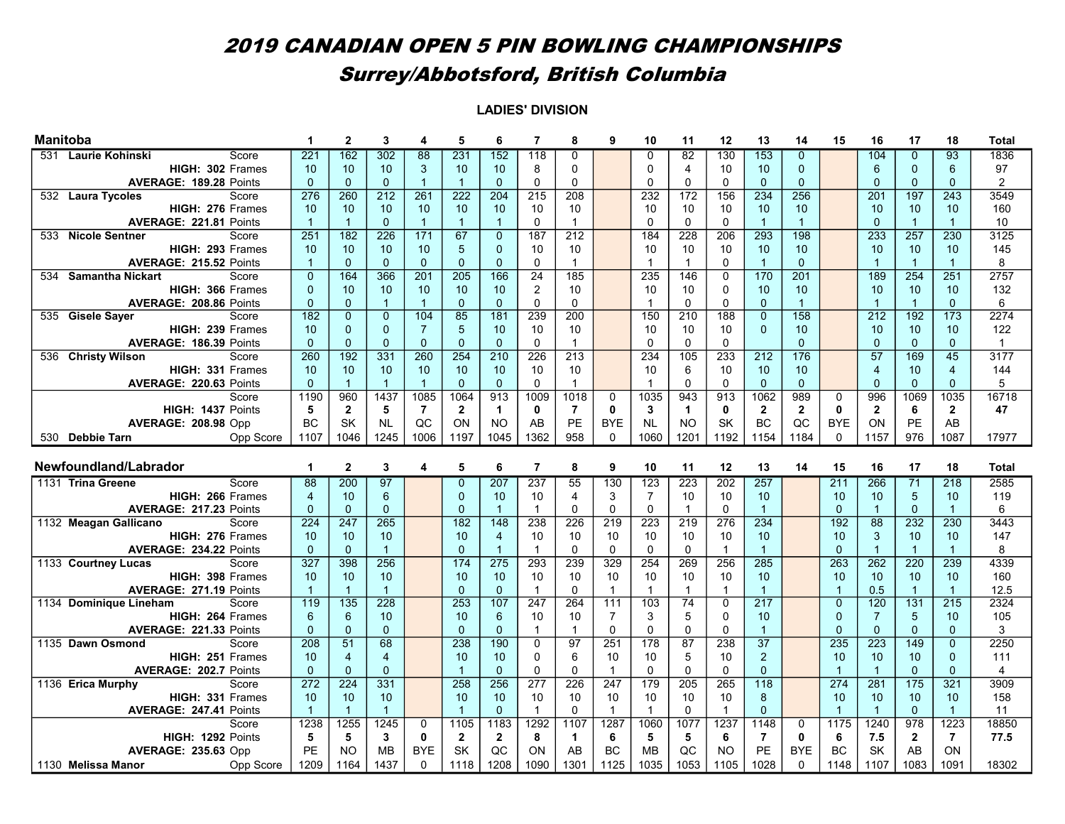| <b>Manitoba</b>                           |                      | $\mathbf{2}$   | 3                | 4               | 5              | 6                    | 7              | 8                | 9              | 10                    | 11                     | 12           | 13              | 14               | 15             | 16               | 17                   | 18                     | Total          |
|-------------------------------------------|----------------------|----------------|------------------|-----------------|----------------|----------------------|----------------|------------------|----------------|-----------------------|------------------------|--------------|-----------------|------------------|----------------|------------------|----------------------|------------------------|----------------|
| 531 Laurie Kohinski<br>Score              | 221                  | 162            | 302              | $\overline{88}$ | 231            | 152                  | 118            | $\Omega$         |                | 0                     | 82                     | 130          | 153             | $\Omega$         |                | 104              | $\Omega$             | $\overline{93}$        | 1836           |
| HIGH: 302 Frames                          | 10                   | 10             | 10               | 3               | 10             | 10                   | 8              | 0                |                | $\mathbf 0$           | $\overline{4}$         | 10           | 10              | $\mathbf{0}$     |                | 6                | $\mathbf 0$          | 6                      | 97             |
| <b>AVERAGE: 189.28 Points</b>             | $\mathbf{0}$         | $\mathbf{0}$   | $\mathbf{0}$     | $\overline{1}$  | $\overline{1}$ | $\Omega$             | $\Omega$       | $\Omega$         |                | $\Omega$              | $\Omega$               | $\Omega$     | $\mathbf{0}$    | $\overline{0}$   |                | $\Omega$         | $\Omega$             | $\Omega$               | $\overline{2}$ |
| 532 Laura Tycoles<br>Score                | 276                  | 260            | 212              | 261             | 222            | 204                  | 215            | 208              |                | 232                   | 172                    | 156          | 234             | 256              |                | 201              | 197                  | 243                    | 3549           |
| HIGH: 276 Frames                          | 10                   | 10             | 10               | 10              | 10             | 10                   | 10             | 10               |                | 10                    | 10                     | 10           | 10              | 10               |                | 10               | 10                   | 10                     | 160            |
| AVERAGE: 221.81 Points                    | $\overline{1}$       | $\mathbf{1}$   | $\Omega$         | $\overline{1}$  | $\overline{1}$ | $\overline{1}$       | $\Omega$       | $\mathbf{1}$     |                | $\mathbf 0$           | $\Omega$               | $\Omega$     | $\overline{1}$  | $\overline{1}$   |                | $\Omega$         | $\overline{1}$       | $\blacktriangleleft$   | 10             |
| 533 Nicole Sentner<br>Score               | 251                  | 182            | 226              | 171             | 67             | $\mathbf{0}$         | 187            | 212              |                | 184                   | 228                    | 206          | 293             | 198              |                | 233              | 257                  | 230                    | 3125           |
| HIGH: 293 Frames                          | 10                   | 10             | 10               | 10              | 5              | $\Omega$             | 10             | 10               |                | 10                    | 10 <sup>1</sup>        | 10           | 10              | 10               |                | 10 <sup>1</sup>  | 10                   | 10                     | 145            |
| AVERAGE: 215.52 Points                    | $\overline{1}$       | $\Omega$       | $\Omega$         | $\mathbf{0}$    | $\mathbf 0$    | $\Omega$             | 0              | $\mathbf 1$      |                | $\overline{1}$        | $\mathbf{1}$           | $\Omega$     | $\overline{1}$  | $\Omega$         |                | $\mathbf{1}$     | $\overline{1}$       |                        | 8              |
| <b>Samantha Nickart</b><br>Score<br>534   | $\Omega$             | 164            | 366              | 201             | 205            | 166                  | 24             | 185              |                | 235                   | 146                    | 0            | 170             | $\overline{201}$ |                | 189              | 254                  | 251                    | 2757           |
| HIGH: 366 Frames                          | $\Omega$             | 10             | 10               | 10              | 10             | 10                   | 2              | 10               |                | 10                    | 10                     | 0            | 10              | 10               |                | 10               | 10                   | 10                     | 132            |
| AVERAGE: 208.86 Points                    | $\mathbf{0}$         | $\mathbf{0}$   | $\overline{1}$   | $\overline{1}$  | $\mathbf{0}$   | $\mathbf{0}$         | $\mathbf 0$    | $\mathbf 0$      |                | $\mathbf{1}$          | $\mathbf{0}$           | $\Omega$     | $\Omega$        | $\overline{1}$   |                | $\overline{1}$   | $\overline{1}$       | $\Omega$               | 6              |
| 535 Gisele Sayer<br>Score                 | 182                  | $\overline{0}$ | $\overline{0}$   | 104             | 85             | $\overline{181}$     | 239            | $\overline{200}$ |                | 150                   | $\overline{210}$       | 188          | $\overline{0}$  | $\overline{158}$ |                | 212              | $\overline{192}$     | 173                    | 2274           |
| HIGH: 239 Frames                          | 10                   | $\mathbf{0}$   | $\mathbf{0}$     | $\overline{7}$  | 5              | 10                   | 10             | 10               |                | 10                    | 10                     | 10           | $\Omega$        | 10               |                | 10               | 10                   | 10                     | 122            |
| AVERAGE: 186.39 Points                    | $\Omega$             | $\mathbf{0}$   | $\mathbf{0}$     | $\mathbf 0$     | $\mathbf 0$    | $\mathbf{0}$         | $\mathbf 0$    | $\mathbf{1}$     |                | $\mathbf 0$           | $\Omega$               | $\mathbf 0$  |                 | $\Omega$         |                | $\Omega$         | $\overline{0}$       | $\Omega$               | $\mathbf{1}$   |
| <b>Christy Wilson</b><br>Score<br>536     | 260                  | 192            | 331              | 260             | 254            | 210                  | 226            | 213              |                | 234                   | 105                    | 233          | 212             | 176              |                | $\overline{57}$  | 169                  | 45                     | 3177           |
| HIGH: 331 Frames                          | 10                   | 10             | 10               | 10              | 10             | 10                   | 10             | 10               |                | 10                    | 6                      | 10           | 10              | 10               |                | $\overline{4}$   | 10                   | $\overline{4}$         | 144            |
| AVERAGE: 220.63 Points                    | $\mathbf{0}$         |                | $\overline{1}$   | -1              | $\mathbf{0}$   | $\mathbf{0}$         | $\mathbf 0$    | $\mathbf 1$      |                | $\mathbf{1}$          | $\mathbf 0$            | 0            | $\Omega$        | $\mathbf{0}$     |                | $\Omega$         | $\mathbf{0}$         | $\mathbf{0}$           | 5              |
| Score                                     | 1190                 | 960            | 1437             | 1085            | 1064           | 913                  | 1009           | 1018             | 0              | 1035                  | 943                    | 913          | 1062            | 989              | $\mathbf 0$    | 996              | 1069                 | 1035                   | 16718          |
| HIGH: 1437 Points                         | 5                    | $\mathbf{2}$   | 5                | $\overline{7}$  | $\overline{2}$ | $\blacktriangleleft$ | 0              | $\overline{7}$   | 0              | 3                     | $\mathbf{1}$           | 0            | $\overline{2}$  | $\overline{2}$   | $\mathbf{0}$   | $\overline{2}$   | 6                    | $\overline{2}$         | 47             |
| AVERAGE: 208.98 Opp                       | <b>BC</b>            | <b>SK</b>      | <b>NL</b>        | QC              | ON             | <b>NO</b>            | AB             | <b>PE</b>        | <b>BYE</b>     | <b>NL</b>             | <b>NO</b>              | <b>SK</b>    | <b>BC</b>       | QC               | <b>BYE</b>     | ON               | PE                   | AB                     |                |
| 530 Debbie Tarn<br>Opp Score              | 1107                 | 1046           | 1245             | 1006            | 1197           | 1045                 | 1362           | 958              | $\Omega$       | 1060                  | 1201                   | 1192         | 1154            | 1184             | $\mathbf 0$    | 1157             | 976                  | 1087                   | 17977          |
|                                           |                      |                |                  |                 |                |                      |                |                  |                |                       |                        |              |                 |                  |                |                  |                      |                        |                |
|                                           |                      |                |                  |                 |                |                      |                |                  |                |                       |                        |              |                 |                  |                |                  |                      |                        |                |
| Newfoundland/Labrador                     | 1                    | $\mathbf{2}$   | 3                | 4               | 5              | 6                    | $\overline{7}$ | 8                | 9              | 10                    | 11                     | 12           | 13              | 14               | 15             | 16               | 17                   | 18                     | <b>Total</b>   |
| 1131 Trina Greene<br>Score                |                      |                |                  |                 | $\overline{0}$ |                      |                |                  |                |                       |                        |              |                 |                  |                |                  |                      |                        |                |
| HIGH: 266 Frames                          | 88<br>$\overline{4}$ | 200<br>10      | 97<br>6          |                 | $\mathbf{0}$   | 207<br>10            | 237<br>10      | 55<br>4          | 130<br>3       | 123<br>$\overline{7}$ | 223<br>10 <sup>1</sup> | 202<br>10    | 257<br>10       |                  | 211<br>10      | 266<br>10        | $\overline{71}$<br>5 | $\overline{218}$<br>10 | 2585<br>119    |
|                                           | $\mathbf{0}$         |                |                  |                 | $\mathbf{0}$   | $\overline{1}$       | $\overline{1}$ | $\Omega$         | $\mathbf 0$    | $\mathbf 0$           | $\overline{1}$         | $\Omega$     | $\overline{1}$  |                  | $\mathbf{0}$   | $\overline{1}$   | $\mathbf{0}$         | $\blacktriangleleft$   | 6              |
| AVERAGE: 217.23 Points<br>Score           | $\overline{224}$     | $\mathbf 0$    | $\mathbf 0$      |                 |                | $\overline{148}$     |                |                  |                |                       |                        |              |                 |                  |                | 88               | $\overline{232}$     | 230                    | 3443           |
| 1132 Meagan Gallicano<br>HIGH: 276 Frames | 10                   | 247<br>10      | 265<br>10        |                 | 182<br>10      | $\overline{4}$       | 238<br>10      | 226<br>10        | 219<br>10      | 223<br>10             | 219<br>10              | 276<br>10    | 234<br>10       |                  | 192<br>10      | 3                | 10                   | 10                     | 147            |
| AVERAGE: 234.22 Points                    | $\Omega$             | $\mathbf{0}$   | $\overline{1}$   |                 | $\mathbf 0$    | $\overline{1}$       | $\overline{1}$ | $\Omega$         | $\Omega$       | $\mathbf 0$           | $\mathbf{0}$           | $\mathbf{1}$ | $\overline{1}$  |                  | $\Omega$       | $\overline{1}$   | $\mathbf{1}$         | $\blacktriangleleft$   | 8              |
| 1133 Courtney Lucas<br>Score              | $\overline{327}$     | 398            | 256              |                 | 174            | 275                  | 293            | 239              | 329            | 254                   | 269                    | 256          | 285             |                  | 263            | $\frac{262}{ }$  | $\overline{220}$     | 239                    | 4339           |
| HIGH: 398 Frames                          | 10                   | 10             | 10               |                 | 10             | 10                   | 10             | 10               | 10             | 10                    | 10                     | 10           | 10              |                  | 10             | 10               | 10                   | 10                     | 160            |
| AVERAGE: 271.19 Points                    | $\overline{1}$       | 1              | $\overline{1}$   |                 | $\mathbf 0$    | $\mathbf{0}$         | $\overline{1}$ | $\Omega$         | $\mathbf{1}$   | $\mathbf{1}$          | $\mathbf{1}$           | 1            | $\overline{1}$  |                  | $\overline{1}$ | 0.5              | $\overline{1}$       | $\blacktriangleleft$   | 12.5           |
| 1134 Dominique Lineham<br>Score           | 119                  | 135            | $\overline{228}$ |                 | 253            | 107                  | 247            | 264              | 111            | 103                   | 74                     | $\mathbf 0$  | 217             |                  | $\Omega$       | 120              | 131                  | $\overline{215}$       | 2324           |
| HIGH: 264 Frames                          | 6                    | 6              | 10               |                 | 10             | 6                    | 10             | 10               | $\overline{7}$ | 3                     | 5                      | 0            | 10              |                  | $\mathbf{0}$   | $\overline{7}$   | 5                    | 10                     | 105            |
| AVERAGE: 221.33 Points                    | $\mathbf 0$          | $\pmb{0}$      | $\mathbf 0$      |                 | $\mathbf 0$    | $\mathbf{0}$         | $\mathbf{1}$   | $\mathbf{1}$     | $\mathbf 0$    | $\mathbf 0$           | $\Omega$               | $\Omega$     | $\overline{1}$  |                  | $\mathbf 0$    | $\Omega$         | $\Omega$             | $\Omega$               | 3              |
| 1135 Dawn Osmond<br>Score                 | 208                  | 51             | 68               |                 | 238            | 190                  | $\mathbf 0$    | 97               | 251            | 178                   | 87                     | 238          | $\overline{37}$ |                  | 235            | $\overline{223}$ | 149                  | $\Omega$               | 2250           |
| HIGH: 251 Frames                          | 10                   | $\overline{4}$ | $\overline{4}$   |                 | 10             | 10                   | 0              | 6                | 10             | 10                    | 5                      | 10           | $\overline{2}$  |                  | 10             | 10               | 10                   | $\mathbf{0}$           | 111            |
| <b>AVERAGE: 202.7 Points</b>              | $\Omega$             | $\Omega$       | $\Omega$         |                 | $\overline{1}$ | $\Omega$             | 0              | $\Omega$         | $\mathbf{1}$   | $\Omega$              | $\Omega$               | $\Omega$     | $\Omega$        |                  | $\overline{1}$ | $\overline{1}$   | $\Omega$             | $\Omega$               | $\overline{4}$ |
| 1136 Erica Murphy<br>Score                | 272                  | 224            | 331              |                 | 258            | 256                  | 277            | 226              | 247            | 179                   | 205                    | 265          | 118             |                  | 274            | 281              | $\overline{175}$     | 321                    | 3909           |
| HIGH: 331 Frames                          | 10                   | 10             | 10               |                 | 10             | 10                   | 10             | 10               | 10             | 10                    | 10                     | 10           | 8               |                  | 10             | 10               | 10                   | 10                     | 158            |
| AVERAGE: 247.41 Points                    | $\overline{1}$       | $\overline{1}$ | $\overline{1}$   |                 | $\overline{1}$ | $\Omega$             | $\mathbf{1}$   | $\Omega$         | $\mathbf{1}$   | $\mathbf{1}$          | $\Omega$               | 1            | $\Omega$        |                  | $\overline{1}$ | $\overline{1}$   | $\Omega$             | $\blacktriangleleft$   | 11             |
| Score                                     | 1238                 | 1255           | 1245             | $\mathbf 0$     | 1105           | 1183                 | 1292           | 1107             | 1287           | 1060                  | 1077                   | 1237         | 1148            | 0                | 1175           | 1240             | 978                  | 1223                   | 18850          |
| HIGH: 1292 Points                         | 5                    | 5              | 3                | 0               | $\overline{2}$ | $\overline{2}$       | 8              | 1                | 6              | 5                     | 5                      | 6            | $\overline{7}$  | $\mathbf{0}$     | 6              | 7.5              | $\overline{2}$       | $\overline{7}$         | 77.5           |
| <b>AVERAGE: 235.63 Opp</b>                | PE                   | <b>NO</b>      | <b>MB</b>        | <b>BYE</b>      | SK             | QC                   | ON             | AB               | <b>BC</b>      | <b>MB</b>             | QC                     | <b>NO</b>    | <b>PE</b>       | <b>BYE</b>       | <b>BC</b>      | SK               | AB                   | ON                     |                |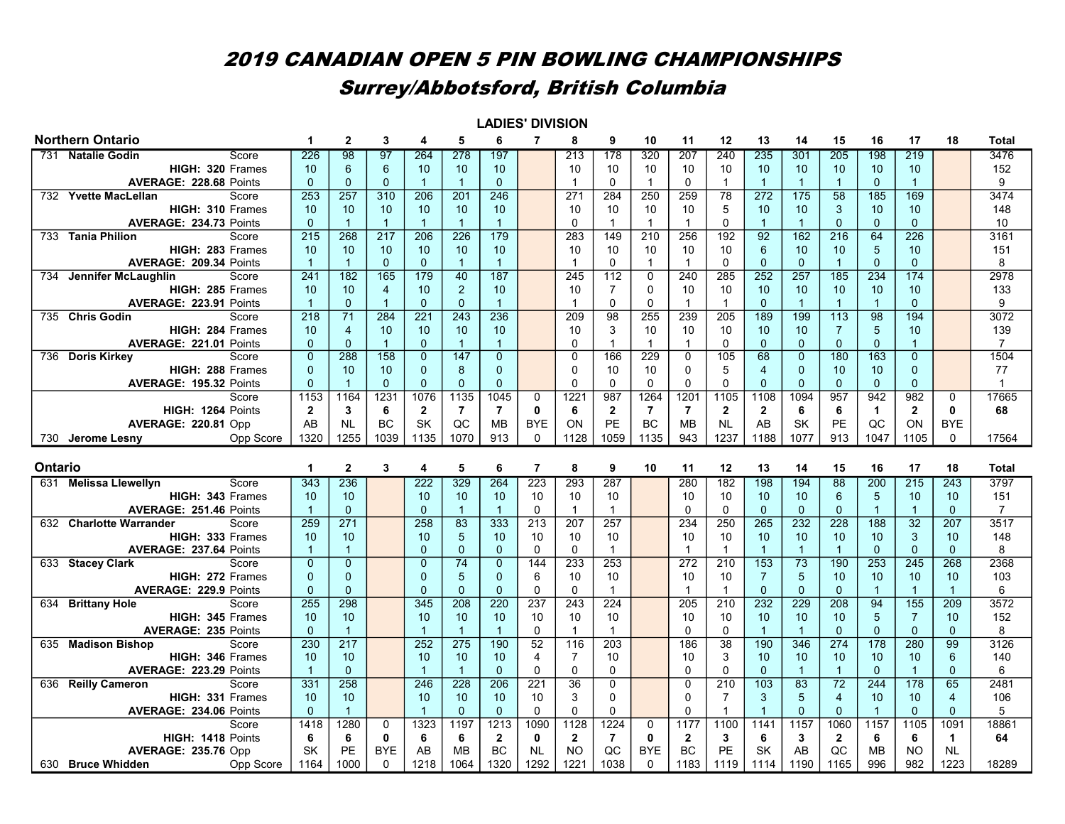|         |                                                              |                      |                      |                                  |                         |                                | <b>LADIES' DIVISION</b> |                   |                      |                            |                        |                      |                      |                    |                      |                                |                      |                  |                   |                |
|---------|--------------------------------------------------------------|----------------------|----------------------|----------------------------------|-------------------------|--------------------------------|-------------------------|-------------------|----------------------|----------------------------|------------------------|----------------------|----------------------|--------------------|----------------------|--------------------------------|----------------------|------------------|-------------------|----------------|
|         | <b>Northern Ontario</b>                                      | $\mathbf 1$          | $\mathbf{2}$         | 3                                | 4                       | 5                              | 6                       | $\overline{7}$    | 8                    | 9                          | 10                     | 11                   | $12 \,$              | 13                 | 14                   | 15                             | 16                   | 17               | 18                | <b>Total</b>   |
|         | 731 Natalie Godin<br>Score                                   | 226                  | 98                   | 97                               | 264                     | 278                            | 197                     |                   | 213                  | 178                        | 320                    | 207                  | 240                  | 235                | 301                  | 205                            | 198                  | 219              |                   | 3476           |
|         | HIGH: 320 Frames                                             | 10                   | 6                    | 6                                | 10                      | 10 <sup>°</sup>                | 10                      |                   | 10                   | 10                         | 10                     | 10                   | 10                   | 10                 | 10                   | 10                             | 10 <sup>°</sup>      | 10               |                   | 152            |
|         | <b>AVERAGE: 228.68 Points</b>                                | $\Omega$             | $\Omega$             | $\Omega$                         | $\mathbf{1}$            | $\overline{1}$                 | $\Omega$                |                   | $\overline{1}$       | $\mathbf{0}$               | $\mathbf{1}$           | $\Omega$             | $\mathbf 1$          |                    | $\overline{1}$       | $\overline{1}$                 | $\mathbf{0}$         | $\mathbf{1}$     |                   | 9              |
| 732     | <b>Yvette MacLellan</b><br>Score                             | 253                  | 257                  | 310                              | 206                     | 201                            | 246                     |                   | 271                  | 284                        | 250                    | 259                  | 78                   | 272                | 175                  | 58                             | 185                  | 169              |                   | 3474           |
|         | HIGH: 310 Frames                                             | 10                   | 10                   | 10                               | 10                      | 10 <sup>1</sup>                | 10                      |                   | 10                   | 10                         | 10                     | 10                   | 5                    | 10                 | 10                   | 3                              | 10                   | 10               |                   | 148            |
|         | AVERAGE: 234.73 Points                                       | $\mathbf{0}$         | $\overline{1}$       | $\blacktriangleleft$             | $\overline{1}$          | $\overline{1}$                 | $\mathbf{1}$            |                   | $\mathbf 0$          | $\mathbf{1}$               | $\mathbf{1}$           | $\mathbf{1}$         | $\mathbf 0$          | $\overline{1}$     | $\overline{1}$       | $\mathbf{0}$                   | $\mathbf{0}$         | $\mathbf{0}$     |                   | 10             |
|         | 733 Tania Philion<br>Score                                   | 215                  | $\overline{268}$     | 217                              | 206                     | $\overline{226}$               | $\overline{179}$        |                   | 283                  | 149                        | $\overline{210}$       | 256                  | 192                  | $\overline{92}$    | $\overline{162}$     | 216                            | 64                   | $\frac{226}{ }$  |                   | 3161           |
|         | HIGH: 283 Frames                                             | 10                   | 10                   | 10                               | 10                      | 10                             | 10                      |                   | 10                   | 10                         | 10                     | 10                   | 10                   | 6                  | 10                   | 10                             | 5                    | 10               |                   | 151            |
|         | AVERAGE: 209.34 Points                                       | $\overline{1}$       | $\overline{1}$       | $\mathbf{0}$                     | $\mathbf{0}$            | $\overline{1}$                 | $\mathbf{1}$            |                   | $\overline{1}$       | $\Omega$                   | $\mathbf{1}$           | $\mathbf{1}$         | 0                    | $\Omega$           | $\mathbf{0}$         | $\overline{1}$                 | $\mathbf{0}$         | $\mathbf{0}$     |                   | 8              |
| 734     | Jennifer McLaughlin<br>Score                                 | 241                  | 182                  | 165                              | 179                     | 40                             | 187                     |                   | 245                  | 112                        | $\mathbf 0$            | 240                  | 285                  | 252                | $\overline{257}$     | 185                            | 234                  | 174              |                   | 2978           |
|         | HIGH: 285 Frames                                             | 10<br>$\overline{1}$ | 10<br>$\mathbf{0}$   | $\overline{4}$<br>$\overline{1}$ | 10                      | $\overline{2}$<br>$\mathbf{0}$ | 10<br>$\overline{1}$    |                   | 10<br>$\overline{1}$ | $\overline{7}$<br>$\Omega$ | $\mathbf 0$            | 10<br>$\overline{1}$ | 10<br>$\overline{1}$ | 10<br>$\mathbf{0}$ | 10<br>$\overline{1}$ | 10<br>$\overline{1}$           | 10<br>$\overline{1}$ | 10<br>$\Omega$   |                   | 133            |
|         | AVERAGE: 223.91 Points                                       |                      | $\overline{71}$      |                                  | $\mathbf{0}$            |                                | 236                     |                   |                      |                            | $\mathbf 0$<br>255     |                      |                      | 189                | 199                  |                                | 98                   | 194              |                   | 9<br>3072      |
|         | 735 Chris Godin<br>Score                                     | 218<br>10            | $\overline{4}$       | 284<br>10                        | 221<br>10               | 243<br>10                      | 10                      |                   | 209<br>10            | 98<br>3                    | 10                     | 239<br>10            | 205<br>10            | 10                 | 10                   | 113                            | $5\phantom{.0}$      | 10               |                   | 139            |
|         | <b>HIGH: 284 Frames</b><br><b>AVERAGE: 221.01 Points</b>     | $\overline{0}$       | $\Omega$             | $\overline{1}$                   | $\Omega$                | $\overline{1}$                 | $\mathbf{1}$            |                   | $\Omega$             | $\mathbf{1}$               | $\mathbf{1}$           | $\mathbf{1}$         | $\Omega$             | $\Omega$           | $\overline{0}$       | $\overline{7}$<br>$\mathbf{0}$ | $\Omega$             | $\mathbf{1}$     |                   | $\overline{7}$ |
|         | 736 Doris Kirkey<br>Score                                    | $\Omega$             | 288                  | 158                              | $\mathbf{0}$            | 147                            | $\overline{0}$          |                   | $\Omega$             | 166                        | 229                    | $\mathbf 0$          | 105                  | 68                 | $\Omega$             | 180                            | 163                  | $\overline{0}$   |                   | 1504           |
|         | HIGH: 288 Frames                                             | $\Omega$             | 10                   | 10                               | $\Omega$                | 8                              | $\Omega$                |                   | $\Omega$             | 10                         | 10                     | $\mathbf{0}$         | 5                    | $\overline{4}$     | $\Omega$             | 10                             | 10 <sup>1</sup>      | $\Omega$         |                   | 77             |
|         | <b>AVERAGE: 195.32 Points</b>                                | $\Omega$             | 1                    | $\Omega$                         | $\mathbf{0}$            | $\Omega$                       | $\Omega$                |                   | $\Omega$             | $\mathbf{0}$               | $\mathbf{0}$           | $\mathbf{0}$         | $\Omega$             | $\Omega$           | $\Omega$             | $\Omega$                       | $\mathbf{0}$         | $\Omega$         |                   | $\overline{1}$ |
|         | Score                                                        | 1153                 | 1164                 | $\overline{123}$                 | 1076                    | 1135                           | 1045                    | $\Omega$          | 1221                 | 987                        | 1264                   | 1201                 | 1105                 | 1108               | 1094                 | 957                            | 942                  | 982              | $\Omega$          | 17665          |
|         | HIGH: 1264 Points                                            | $\mathbf{2}$         | 3                    | 6                                | $\mathbf{2}$            | $\overline{7}$                 | $\overline{7}$          | $\mathbf{0}$      | 6                    | $\mathbf{2}$               | $\overline{7}$         | $\overline{7}$       | $\mathbf{2}$         | $\mathbf{2}$       | 6                    | 6                              | $\blacktriangleleft$ | $\mathbf{2}$     | $\mathbf{0}$      | 68             |
|         | AVERAGE: 220.81 Opp                                          | AB                   | <b>NL</b>            | <b>BC</b>                        | <b>SK</b>               | QC                             | <b>MB</b>               | <b>BYE</b>        | ON                   | PE                         | <b>BC</b>              | <b>MB</b>            | <b>NL</b>            | AB                 | SK                   | PE                             | QC                   | <b>ON</b>        | <b>BYE</b>        |                |
|         | Opp Score<br>730 Jerome Lesny                                | 1320                 | 1255                 | 1039                             | 1135                    | 1070                           | 913                     | $\mathbf 0$       | 1128                 | 1059                       | 1135                   | 943                  | 1237                 | 1188               | 1077                 | 913                            | 1047                 | 1105             | $\Omega$          | 17564          |
|         |                                                              |                      |                      |                                  |                         |                                |                         |                   |                      |                            |                        |                      |                      |                    |                      |                                |                      |                  |                   |                |
|         |                                                              |                      |                      |                                  |                         |                                |                         |                   |                      |                            |                        |                      |                      |                    |                      |                                |                      |                  |                   |                |
| Ontario |                                                              | 1                    | $\mathbf{2}$         | 3                                | $\overline{\mathbf{4}}$ | 5                              | 6                       | $\overline{7}$    | 8                    | 9                          | 10                     | 11                   | $12 \overline{ }$    | 13                 | 14                   | 15                             | 16                   | 17               | 18                | <b>Total</b>   |
|         | 631 Melissa Llewellyn<br>Score                               | 343                  | 236                  |                                  | 222                     | 329                            | 264                     | 223               | 293                  | 287                        |                        | 280                  | 182                  | 198                | 194                  | 88                             | 200                  | 215              | 243               | 3797           |
|         | HIGH: 343 Frames                                             | 10                   | 10                   |                                  | 10                      | 10 <sup>1</sup>                | 10                      | 10                | 10                   | 10                         |                        | 10                   | 10                   | 10                 | 10                   | 6                              | $5\phantom{.0}$      | 10               | 10                | 151            |
|         | <b>AVERAGE: 251.46 Points</b>                                | $\overline{1}$       | $\mathbf{0}$         |                                  | $\Omega$                | $\overline{1}$                 | $\overline{1}$          | $\mathbf{0}$      | $\overline{1}$       | $\mathbf{1}$               |                        | $\Omega$             | $\Omega$             | $\Omega$           | $\Omega$             | $\Omega$                       | $\overline{1}$       | $\overline{1}$   | $\mathbf{0}$      | $\overline{7}$ |
|         | 632 Charlotte Warrander<br>Score                             | 259                  | 271                  |                                  | 258                     | 83                             | 333                     | 213               | 207                  | 257                        |                        | 234                  | 250                  | 265                | 232                  | 228                            | 188                  | $\overline{32}$  | 207               | 3517           |
|         | HIGH: 333 Frames                                             | 10                   | 10                   |                                  | 10                      | $\overline{5}$                 | 10                      | 10                | 10                   | 10                         |                        | 10                   | 10                   | 10                 | 10                   | 10                             | 10 <sup>1</sup>      | 3                | 10                | 148            |
|         | AVERAGE: 237.64 Points                                       | $\overline{1}$       | $\overline{1}$       |                                  | $\Omega$                | $\Omega$                       | $\Omega$                | $\Omega$          | $\mathbf{0}$         | $\mathbf{1}$               |                        | $\overline{1}$       | $\overline{1}$       |                    | $\overline{1}$       |                                | $\Omega$             | $\Omega$         | $\Omega$          | 8              |
|         | 633 Stacey Clark<br>Score                                    | $\Omega$             | $\Omega$             |                                  | $\Omega$                | 74                             | $\Omega$                | 144               | 233                  | 253                        |                        | 272                  | 210                  | $\overline{153}$   | $\overline{73}$      | 190                            | 253                  | $\overline{245}$ | 268               | 2368           |
|         | HIGH: 272 Frames                                             | $\overline{0}$       | $\Omega$             |                                  | $\mathbf 0$             | $\overline{5}$                 | $\Omega$                | 6                 | 10                   | 10                         |                        | 10                   | 10                   | $\overline{7}$     | 5                    | 10                             | 10                   | 10               | 10                | 103            |
|         | AVERAGE: 229.9 Points                                        | $\mathbf{0}$         | $\mathbf{0}$         |                                  | $\mathbf{0}$            | $\mathbf{0}$                   | $\mathbf{0}$            | $\mathbf 0$       | $\mathbf 0$          | $\overline{1}$             |                        | $\overline{1}$       | $\overline{1}$       | $\mathbf{0}$       | $\mathbf{0}$         | $\mathbf{0}$                   | $\overline{1}$       | $\mathbf{1}$     | $\overline{1}$    | 6              |
| 634     | <b>Brittany Hole</b><br>Score                                | 255                  | 298                  |                                  | 345                     | 208                            | $\overline{220}$        | 237               | 243                  | 224                        |                        | $\frac{205}{ }$      | 210                  | 232                | 229                  | 208                            | 94                   | 155              | $\frac{209}{ }$   | 3572           |
|         | HIGH: 345 Frames                                             | 10                   | 10                   |                                  | 10                      | 10                             | 10                      | 10                | 10                   | 10                         |                        | 10                   | 10                   | 10                 | 10                   | 10                             | 5                    | $\overline{7}$   | 10                | 152            |
|         | <b>AVERAGE: 235 Points</b>                                   | $\mathbf{0}$         | $\overline{1}$       |                                  | $\overline{1}$          | $\overline{1}$                 | $\mathbf{1}$            | $\mathbf 0$       | $\overline{1}$       | $\mathbf{1}$               |                        | $\mathbf 0$          | 0                    | $\overline{1}$     | $\overline{1}$       | $\mathbf{0}$                   | $\mathbf{0}$         | $\mathbf{0}$     | $\mathbf{0}$      | 8              |
| 635     | <b>Madison Bishop</b><br>Score                               | 230                  | 217                  |                                  | 252                     | $\overline{275}$               | 190                     | 52                | 116                  | $\frac{203}{ }$            |                        | 186                  | $\overline{38}$      | 190                | $\overline{346}$     | $\overline{274}$               | 178                  | 280              | 99                | 3126           |
|         | HIGH: 346 Frames                                             | 10                   | 10                   |                                  | 10                      | 10 <sup>1</sup>                | 10                      | 4                 | $\overline{7}$       | 10                         |                        | 10                   | 3                    | 10                 | 10                   | 10                             | 10                   | 10               | $\,6\,$           | 140            |
|         | AVERAGE: 223.29 Points                                       | $\overline{1}$       | $\mathbf{0}$         |                                  | $\overline{1}$          | $\overline{1}$                 | $\Omega$                | $\mathbf 0$       | $\mathbf 0$          | 0                          |                        | $\mathbf 0$          | $\mathbf 0$          | $\mathbf{0}$       | $\overline{1}$       | $\overline{1}$                 | $\mathbf{0}$         | $\overline{1}$   | $\mathbf{0}$      | 6              |
|         | 636 Reilly Cameron<br>Score                                  | 331                  | $\overline{258}$     |                                  | 246                     | $\overline{228}$               | 206                     | $\overline{221}$  | 36                   | $\overline{0}$             |                        | $\overline{0}$       | 210                  | $\overline{103}$   | 83                   | $\overline{72}$                | 244                  | $\overline{178}$ | 65                | 2481           |
|         | HIGH: 331 Frames                                             | 10                   | 10                   |                                  | 10                      | 10                             | 10                      | 10                | 3                    | 0                          |                        | $\pmb{0}$            | $\overline{7}$       | 3                  | 5                    | $\overline{4}$                 | 10                   | 10               | $\overline{4}$    | 106            |
|         | <b>AVERAGE: 234.06 Points</b>                                | $\mathbf{0}$         | $\blacktriangleleft$ |                                  | $\overline{1}$          | $\mathbf{0}$                   | $\Omega$                | $\Omega$          | $\Omega$             | $\overline{0}$             |                        | $\Omega$             | $\mathbf 1$          | $\overline{1}$     | $\Omega$             | $\mathbf{0}$                   | $\overline{1}$       | $\Omega$         | $\Omega$          | 5              |
|         | Score                                                        | 1418                 | 1280                 | 0                                | 1323                    | 1197                           | 1213                    | 1090              | 1128                 | 1224                       | $\mathbf 0$            | 1177                 | 1100                 | 1141               | 1157                 | 1060                           | 1157                 | 1105             | 1091              | 18861          |
|         | HIGH: 1418 Points                                            | 6                    | 6                    | $\mathbf 0$                      | 6                       | 6                              | $\mathbf{2}$            | 0                 | $\mathbf{2}$         | $\overline{7}$             | $\mathbf{0}$           | $\overline{2}$       | 3                    | 6                  | 3                    | $\overline{2}$                 | 6                    | 6                | 1                 | 64             |
|         | <b>AVERAGE: 235.76 Opp</b><br>630 Bruce Whidden<br>Opp Score | <b>SK</b><br>1164    | PE<br>1000           | <b>BYE</b><br>$\Omega$           | AB<br>1218              | <b>MB</b><br>1064              | <b>BC</b><br>1320       | <b>NL</b><br>1292 | <b>NO</b><br>1221    | QC<br>1038                 | <b>BYE</b><br>$\Omega$ | <b>BC</b><br>1183    | PE<br>1119           | <b>SK</b><br>1114  | AB<br>1190           | QC<br>1165                     | <b>MB</b><br>996     | <b>NO</b><br>982 | <b>NL</b><br>1223 | 18289          |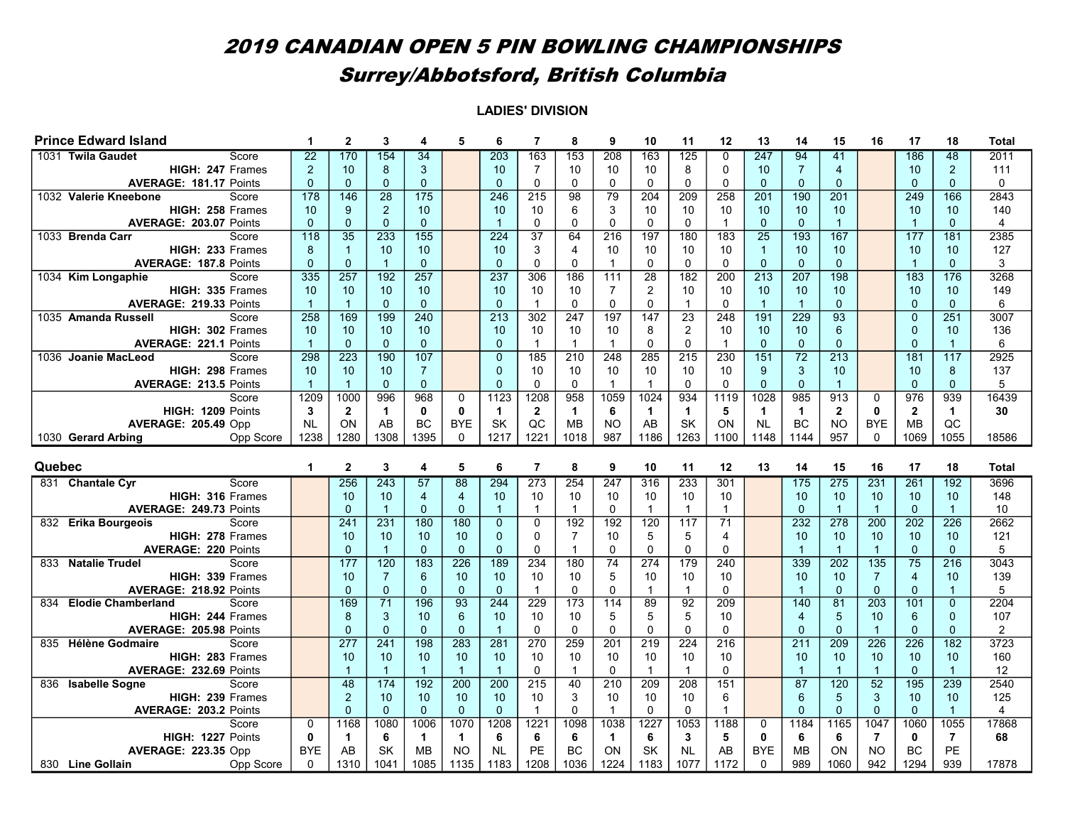|        | <b>Prince Edward Island</b>                                 |                        | $\mathbf{2}$         | 3                    | 4                 | 5                 | 6                    | 7                | 8                 | 9                    | 10               | 11                | 12              | 13                     | 14               | 15               | 16               | 17                | 18                   | <b>Total</b>            |
|--------|-------------------------------------------------------------|------------------------|----------------------|----------------------|-------------------|-------------------|----------------------|------------------|-------------------|----------------------|------------------|-------------------|-----------------|------------------------|------------------|------------------|------------------|-------------------|----------------------|-------------------------|
|        | Score<br>1031 Twila Gaudet                                  | $\overline{22}$        | 170                  | 154                  | $\overline{34}$   |                   | 203                  | 163              | 153               | 208                  | 163              | 125               | 0               | 247                    | 94               | 41               |                  | 186               | 48                   | 2011                    |
|        | HIGH: 247 Frames                                            | $\overline{2}$         | 10                   | 8                    | 3                 |                   | 10                   | $\overline{7}$   | 10                | 10                   | 10               | 8                 | $\Omega$        | 10                     | $\overline{7}$   | $\overline{4}$   |                  | 10                | 2                    | 111                     |
|        | <b>AVERAGE: 181.17 Points</b>                               | $\mathbf{0}$           | $\mathbf{0}$         | $\mathbf{0}$         | $\mathbf{0}$      |                   | $\mathbf{0}$         | 0                | $\Omega$          | $\mathbf 0$          | $\mathbf 0$      | $\mathbf{0}$      | $\Omega$        | $\mathbf 0$            | $\overline{0}$   | $\mathbf{0}$     |                  | $\mathbf{0}$      | $\mathbf{0}$         | $\mathbf{0}$            |
|        | 1032 Valerie Kneebone<br>Score                              | 178                    | 146                  | 28                   | 175               |                   | $\frac{246}{ }$      | 215              | 98                | 79                   | 204              | 209               | 258             | 201                    | 190              | 201              |                  | 249               | 166                  | 2843                    |
|        | HIGH: 258 Frames                                            | 10                     | 9                    | 2                    | 10                |                   | 10                   | 10               | 6                 | 3                    | 10               | 10                | 10              | 10                     | 10               | 10               |                  | 10                | 10                   | 140                     |
|        | AVERAGE: 203.07 Points                                      | $\Omega$               | $\Omega$             | $\mathbf{0}$         | $\overline{0}$    |                   | $\overline{1}$       | 0                | $\Omega$          | $\Omega$             | $\mathbf{0}$     | $\mathbf{0}$      | $\mathbf{1}$    | $\overline{0}$         | $\Omega$         | $\overline{1}$   |                  | $\overline{1}$    | $\Omega$             | $\overline{\mathbf{4}}$ |
|        | 1033 Brenda Carr<br>Score                                   | 118                    | $\overline{35}$      | 233                  | 155               |                   | 224                  | $\overline{37}$  | 64                | 216                  | 197              | 180               | 183             | $\overline{25}$        | 193              | 167              |                  | 177               | 181                  | 2385                    |
|        | HIGH: 233 Frames                                            | 8                      | $\overline{1}$       | 10                   | 10                |                   | 10                   | 3                | 4                 | 10                   | 10               | 10                | 10              | $\overline{1}$         | 10               | 10               |                  | 10                | 10                   | 127                     |
|        | <b>AVERAGE: 187.8 Points</b>                                | $\mathbf{0}$           | $\mathbf{0}$         | $\overline{1}$       | $\mathbf{0}$      |                   | $\mathbf{0}$         | $\mathbf 0$      | $\Omega$          | $\overline{1}$       | $\mathbf 0$      | $\mathbf 0$       | $\mathbf 0$     | $\mathbf{0}$           | $\overline{0}$   | $\mathbf{0}$     |                  | $\mathbf{1}$      | $\overline{0}$       | 3                       |
|        | 1034 Kim Longaphie<br>Score                                 | 335                    | $\overline{257}$     | $\overline{192}$     | $\overline{257}$  |                   | 237                  | 306              | 186               | 111                  | 28               | 182               | 200             | $\overline{213}$       | $\overline{207}$ | 198              |                  | 183               | 176                  | 3268                    |
|        | HIGH: 335 Frames                                            | 10                     | 10                   | 10                   | 10                |                   | 10                   | 10               | 10                | $\overline{7}$       | $\overline{2}$   | 10                | 10              | 10                     | 10               | 10               |                  | 10                | 10                   | 149                     |
|        | AVERAGE: 219.33 Points                                      | $\overline{1}$         | $\overline{1}$       | $\mathbf{0}$         | $\mathbf{0}$      |                   | $\Omega$             | $\mathbf{1}$     | $\Omega$          | $\Omega$             | $\mathbf 0$      | $\overline{1}$    | $\Omega$        | $\overline{1}$         | $\overline{1}$   | $\Omega$         |                  | $\Omega$          | $\mathbf{0}$         | 6                       |
|        | 1035 Amanda Russell<br>Score                                | 258                    | 169                  | 199                  | 240               |                   | 213                  | 302              | 247               | 197                  | 147              | 23                | 248             | 191                    | 229              | 93               |                  | $\mathbf 0$       | 251                  | 3007                    |
|        | HIGH: 302 Frames                                            | 10                     | 10                   | 10                   | 10                |                   | 10                   | 10               | 10                | 10                   | 8                | 2                 | 10              | 10                     | 10               | 6                |                  | $\mathbf{0}$      | 10                   | 136                     |
|        | <b>AVERAGE: 221.1 Points</b>                                | $\overline{1}$         | $\mathbf{0}$         | $\mathbf{0}$         | $\Omega$          |                   | $\Omega$             | $\overline{1}$   | $\overline{1}$    | $\overline{1}$       | $\mathbf{0}$     | $\mathbf{0}$      | $\mathbf{1}$    | $\mathbf{0}$           | $\mathbf{0}$     | $\Omega$         |                  | $\Omega$          | $\overline{1}$       | 6                       |
|        | 1036 Joanie MacLeod<br>Score                                | 298                    | 223                  | 190                  | 107               |                   | $\overline{0}$       | 185              | 210               | 248                  | 285              | $\overline{215}$  | 230             | 151                    | $\overline{72}$  | $\overline{213}$ |                  | 181               | 117                  | 2925                    |
|        | HIGH: 298 Frames                                            | 10                     | 10                   | 10                   | $\overline{7}$    |                   | $\mathbf 0$          | 10               | 10                | 10                   | 10               | 10                | 10              | 9                      | $\mathbf{3}$     | 10               |                  | 10                | 8                    | 137                     |
|        | <b>AVERAGE: 213.5 Points</b>                                | $\overline{1}$         | $\overline{1}$       | $\mathbf{0}$         | $\mathbf{0}$      |                   | $\Omega$             | $\Omega$         | $\Omega$          | $\overline{1}$       | $\mathbf{1}$     | $\Omega$          | $\Omega$        | $\Omega$               | $\mathbf 0$      | $\overline{1}$   |                  | $\mathbf 0$       | $\mathbf{0}$         | 5                       |
|        | Score                                                       | 1209                   | 1000                 | 996                  | 968               | $\mathbf 0$       | 1123                 | 1208             | 958               | 1059                 | 1024             | 934               | 1119            | 1028                   | 985              | 913              | $\Omega$         | 976               | 939                  | 16439                   |
|        | HIGH: 1209 Points                                           | $\mathbf{3}$           | $\overline{2}$       | $\blacktriangleleft$ | $\mathbf{0}$      | $\mathbf{0}$      | $\mathbf{1}$         | $\overline{2}$   | 1                 | 6                    | $\mathbf{1}$     | $\mathbf{1}$      | 5               | $\mathbf{1}$           | $\mathbf{1}$     | $\overline{2}$   | $\mathbf{0}$     | $\overline{2}$    | $\mathbf{1}$         | 30                      |
|        | <b>AVERAGE: 205.49 Opp</b>                                  | <b>NL</b>              | ON                   | AB                   | <b>BC</b>         | <b>BYE</b>        | <b>SK</b>            | QC               | <b>MB</b>         | <b>NO</b>            | AB               | <b>SK</b>         | ON              | <b>NL</b>              | <b>BC</b>        | <b>NO</b>        | <b>BYE</b>       | <b>MB</b>         | QC                   |                         |
|        | 1030 Gerard Arbing<br>Opp Score                             | 1238                   | 1280                 | 1308                 | 1395              | $\mathbf 0$       | 1217                 | 1221             | 1018              | 987                  | 1186             | 1263              | 1100            | 1148                   | 1144             | 957              | $\Omega$         | 1069              | 1055                 | 18586                   |
|        |                                                             |                        |                      |                      |                   |                   |                      |                  |                   |                      |                  |                   |                 |                        |                  |                  |                  |                   |                      |                         |
|        |                                                             |                        |                      |                      |                   |                   |                      |                  |                   |                      |                  |                   |                 |                        |                  |                  |                  |                   |                      |                         |
|        |                                                             |                        |                      |                      |                   |                   |                      |                  |                   |                      |                  |                   |                 |                        |                  |                  |                  |                   |                      |                         |
| Quebec |                                                             | 1                      | $\mathbf{2}$         | 3                    | 4                 | 5                 | 6                    | $\overline{7}$   | 8                 | 9                    | 10               | 11                | 12              | 13                     | 14               | 15               | 16               | 17                | 18                   | Total                   |
|        | 831 Chantale Cyr<br>Score                                   |                        | 256                  | $\overline{243}$     | 57                | 88                | 294                  | $\overline{273}$ | 254               | 247                  | 316              | 233               | 301             |                        | 175              | 275              | 231              | 261               | 192                  | 3696                    |
|        | HIGH: 316 Frames                                            |                        | 10                   | 10                   | 4                 | 4                 | 10                   | 10               | 10                | 10                   | 10               | 10                | 10              |                        | 10               | 10               | 10               | 10                | 10 <sup>°</sup>      | 148                     |
|        | AVERAGE: 249.73 Points                                      |                        | $\mathbf 0$          | $\overline{1}$       | $\Omega$          | $\Omega$          | $\overline{1}$       | $\overline{1}$   | $\mathbf{1}$      | $\Omega$             | $\overline{1}$   | $\mathbf{1}$      | $\mathbf{1}$    |                        | $\Omega$         | $\overline{1}$   | $\overline{1}$   | $\Omega$          | $\overline{1}$       | 10                      |
|        | 832 Erika Bourgeois<br>Score                                |                        | 241                  | 231                  | 180               | 180               | $\overline{0}$       | $\mathbf 0$      | 192               | 192                  | 120              | 117               | $\overline{71}$ |                        | 232              | 278              | 200              | 202               | 226                  | 2662                    |
|        | HIGH: 278 Frames                                            |                        | 10                   | 10                   | 10                | 10                | $\Omega$             | $\Omega$         | 7                 | 10                   | 5                | 5                 | 4               |                        | 10               | 10               | 10               | 10                | 10                   | 121                     |
|        | <b>AVERAGE: 220 Points</b>                                  |                        | $\mathbf{0}$         | $\overline{1}$       | $\mathbf{0}$      | $\mathbf{0}$      | $\Omega$             | 0                | 1                 | $\Omega$             | $\mathbf 0$      | $\Omega$          | $\Omega$        |                        |                  | $\overline{1}$   | $\overline{1}$   | $\mathbf 0$       | $\mathbf{0}$         | 5                       |
| 833    | <b>Natalie Trudel</b><br>Score                              |                        | 177                  | $\overline{120}$     | 183               | $\frac{226}{ }$   | 189                  | 234              | 180               | $\overline{74}$      | $\overline{274}$ | 179               | 240             |                        | 339              | $\frac{202}{ }$  | 135              | $\overline{75}$   | $\overline{216}$     | 3043                    |
|        | HIGH: 339 Frames                                            |                        | 10                   | $\overline{7}$       | 6                 | 10                | 10                   | 10               | 10                | 5                    | 10               | 10                | 10              |                        | 10               | 10               | $\overline{7}$   | $\overline{4}$    | 10                   | 139                     |
|        | <b>AVERAGE: 218.92 Points</b>                               |                        | $\mathbf{0}$         | $\mathbf 0$          | $\Omega$          | $\mathbf 0$       | $\mathbf{0}$         | $\overline{1}$   | $\Omega$          | $\Omega$             | $\overline{1}$   | $\mathbf{1}$      | $\Omega$        |                        | $\mathbf 1$      | $\mathbf{0}$     | $\mathbf{0}$     | $\mathbf 0$       | $\blacktriangleleft$ | 5                       |
| 834    | <b>Elodie Chamberland</b><br>Score                          |                        | 169                  | 71                   | 196               | 93                | 244                  | 229              | 173               | 114                  | 89               | 92                | 209             |                        | 140              | 81               | $\frac{203}{ }$  | 101               | $\mathbf{0}$         | 2204                    |
|        | HIGH: 244 Frames                                            |                        | 8                    | $\mathbf{3}$         | 10                | 6                 | 10                   | 10               | 10                | 5                    | 5                | 5                 | 10              |                        | $\overline{4}$   | 5                | 10               | 6                 | $\mathbf{0}$         | 107                     |
|        | <b>AVERAGE: 205.98 Points</b>                               |                        | $\Omega$             | $\mathbf{0}$         | $\Omega$          | $\mathbf 0$       | $\overline{1}$       | $\Omega$         | $\Omega$          | $\Omega$             | $\mathbf 0$      | $\mathbf{0}$      | $\Omega$        |                        | $\Omega$         | $\Omega$         | $\overline{1}$   | $\mathbf{0}$      | $\Omega$             | $\overline{2}$          |
|        | 835 Hélène Godmaire<br>Score                                |                        | 277                  | 241                  | 198               | 283               | 281                  | 270              | 259               | 201                  | 219              | 224               | 216             |                        | 211              | 209              | 226              | 226               | 182                  | 3723                    |
|        | HIGH: 283 Frames                                            |                        | 10<br>$\overline{1}$ | 10                   | 10                | 10                | 10<br>$\overline{1}$ | 10               | 10<br>$\mathbf 1$ | 10                   | 10               | 10                | 10              |                        | 10<br>-1         | 10               | 10               | 10                | 10                   | 160                     |
|        | AVERAGE: 232.69 Points<br>Score                             |                        |                      | $\overline{1}$       | $\overline{1}$    | $\overline{1}$    |                      | 0                |                   | $\mathbf 0$          | $\overline{1}$   | $\mathbf{1}$      | $\mathbf 0$     |                        |                  | $\overline{1}$   | $\mathbf{1}$     | $\mathbf{0}$      | $\overline{1}$       | 12                      |
| 836    | <b>Isabelle Sogne</b>                                       |                        | 48                   | 174                  | 192               | 200               | 200                  | $\overline{215}$ | 40                | 210                  | 209              | 208               | 151             |                        | 87               | 120              | 52               | 195               | 239                  | 2540                    |
|        | HIGH: 239 Frames                                            |                        | $\overline{2}$       | 10                   | 10                | 10                | 10                   | 10               | 3                 | 10<br>$\overline{1}$ | 10               | 10                | 6               |                        | 6                | 5                | 3                | 10                | 10                   | 125                     |
|        | <b>AVERAGE: 203.2 Points</b>                                |                        | $\mathbf{0}$         | $\mathbf{0}$         | $\mathbf{0}$      | $\mathbf{0}$      | $\mathbf{0}$         | $\mathbf{1}$     | $\Omega$          |                      | $\mathbf{0}$     | $\mathbf 0$       | $\mathbf{1}$    |                        | $\overline{0}$   | $\mathbf{0}$     | $\Omega$         | $\mathbf{0}$      | $\overline{1}$       | 4                       |
|        | Score                                                       | 0                      | 1168                 | 1080                 | 1006              | 1070              | 1208                 | 1221             | 1098              | 1038                 | 1227             | 1053              | 1188            | 0                      | 1184             | 1165             | 1047             | 1060              | 1055                 | 17868                   |
|        | HIGH: 1227 Points                                           | $\mathbf{0}$           | $\blacktriangleleft$ | 6                    | $\overline{1}$    | $\mathbf{1}$      | 6                    | 6                | 6                 | $\blacktriangleleft$ | 6                | 3                 | 5               | $\bf{0}$               | 6                | 6                | $\overline{7}$   | 0                 | $\overline{7}$       | 68                      |
|        | <b>AVERAGE: 223.35 Opp</b><br>830 Line Gollain<br>Opp Score | <b>BYE</b><br>$\Omega$ | AB<br>1310           | <b>SK</b><br>1041    | <b>MB</b><br>1085 | <b>NO</b><br>1135 | <b>NL</b><br>1183    | PE<br>1208       | BC<br>1036        | ON<br>1224           | SK<br>1183       | <b>NL</b><br>1077 | AB<br>1172      | <b>BYE</b><br>$\Omega$ | <b>MB</b><br>989 | ON<br>1060       | <b>NO</b><br>942 | <b>BC</b><br>1294 | <b>PE</b><br>939     | 17878                   |